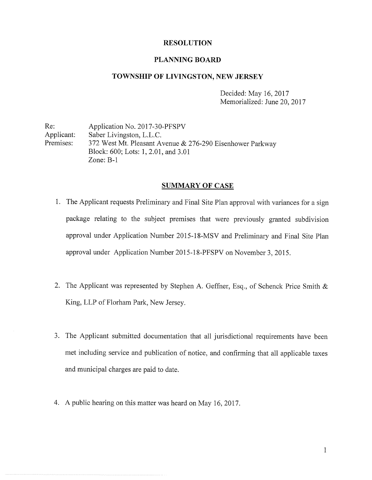# RESOLUTION

## PLANNING BOARD

### TOWNSHIP OF LIVINGSTON, NEW JERSEY

Decided: May 16, 2017 Memorialized: June 20, 2017

Re: Application No. 2017-30-PFSPV Applicant: Saber Livingston, L.L.C. Premises: 372 West Mt. Pleasant Avenue & 276-290 Eisenhower Parkway Block: 600; Lots: 1, 2.01, and 3.01 Zone: B-i

## SUMMARY OF CASE

- 1. The Applicant requests Preliminary and Final Site Plan approval with variances for a sign package relating to the subject premises that were previously granted subdivision approval under Application Number 2015-18-MSV and Preliminary and Final Site Plan approval under Application Number 2015-18-PFSPV on November 3, 2015.
- 2. The Applicant was represented by Stephen A. Geffner, Esq., of Schenck Price Smith & King, LLP of Florham Park, New Jersey.
- 3. The Applicant submitted documentation that all jurisdictional requirements have been met including service and publication of notice, and confirming that all applicable taxes and municipal charges are paid to date.
- 4. A public hearing on this matter was heard on May 16, 2017.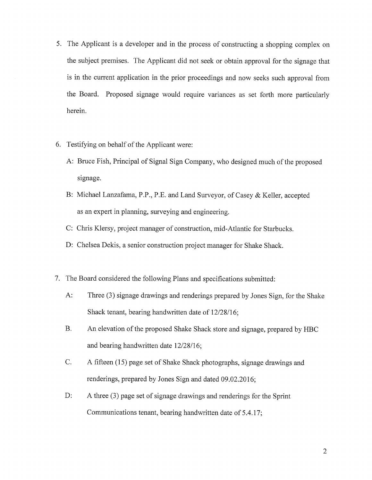- 5. The Applicant is <sup>a</sup> developer and in the process of constructing <sup>a</sup> shopping complex on the subject premises. The Applicant did not seek or obtain approval for the signage that is in the current application in the prior proceedings and now seeks such approval from the Board. Proposed signage would require variances as set forth more particularly herein.
- 6. Testifying on behalf of the Applicant were:
	- A: Bruce Fish, Principal of Signal Sign Company, who designed much of the proposed signage.
	- B: Michael Lanzafama, P.P., P.E. and Land Surveyor, of Casey & Keller, accepted as an expert in planning, surveying and engineering.
	- C: Chris Klersy, project manager of construction, mid-Atlantic for Starbucks.
	- D: Chelsea Dekis, a senior construction project manager for Shake Shack.
- 7. The Board considered the following Plans and specifications submitted:
	- A: Three (3) signage drawings and renderings prepared by Jones Sign, for the Shake Shack tenant, bearing handwritten date of 12/28/16;
	- B. An elevation of the proposed Shake Shack store and signage, prepared by HBC and bearing handwritten date 12/28/16;
	- C. A fifteen (15) page set of Shake Shack photographs, signage drawings and renderings, prepared by Jones Sign and dated 09.02.2016;
	- D: A three (3) page set of signage drawings and renderings for the Sprint Communications tenant, bearing handwritten date of 5.4.17;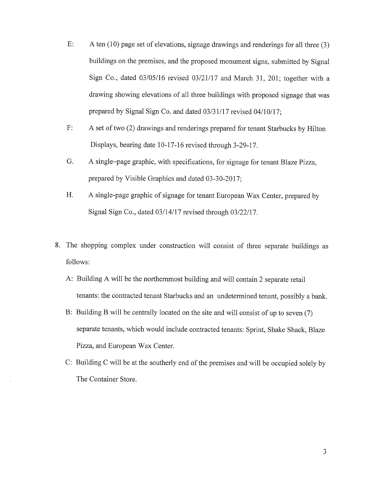- E: A ten (10) page set of elevations, signage drawings and renderings for all three (3) buildings on the premises, and the proposed monument signs, submitted by Signal Sign Co., dated 03/05/16 revised 03/21/17 and March 31, 201; together with a drawing showing elevations of all three buildings with proposed signage that was prepared by Signal Sign Co. and dated 03/31/17 revised 04/10/17;
- F: A set of two (2) drawings and renderings prepared for tenant Starbucks by Hilton Displays, bearing date 10-17-16 revised through 3-29-17.
- G. A single—page graphic, with specifications, for signage for tenant Blaze Pizza, prepared by Visible Graphics and dated 03-30-2017;
- H. A single-page graphic of signage for tenant European Wax Center, prepared by Signal Sign Co., dated 03/14/17 revised through 03/22/17.
- 8. The shopping complex under construction will consist of three separate buildings as follows:
	- A: Building A will be the northernmost building and will contain 2 separate retail tenants: the contracted tenant Starbucks and an undetermined tenant, possibly a bank.
	- B: Building B will be centrally located on the site and will consist of up to seven (7) separate tenants, which would include contracted tenants: Sprint, Shake Shack, Blaze Pizza, and European Wax Center.
	- C: Building C will be at the southerly end of the premises and will be occupied solely by The Container Store.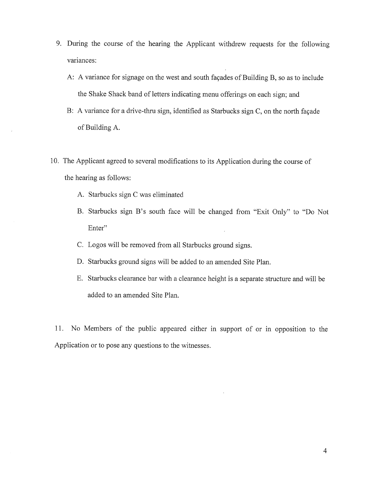- 9. During the course of the hearing the Applicant withdrew requests for the following variances:
	- A: A variance for signage on the west and south façades of Building B, so as to include the Shake Shack band of letters indicating menu offerings on each sign; and
	- B: A variance for a drive-thru sign, identified as Starbucks sign C, on the north façade of Building A.
- 10. The Applicant agreed to several modifications to its Application during the course of the hearing as follows:
	- A. Starbucks sign C was eliminated
	- B. Starbucks sign B's south face will be changed from "Exit Only" to "Do Not Enter"
	- C. Logos will be removed from all Starbucks ground signs.
	- D. Starbucks ground signs will be added to an amended Site Plan.
	- E. Starbucks clearance bar with <sup>a</sup> clearance height is <sup>a</sup> separate structure and will be added to an amended Site Plan.

11. No Members of the public appeared either in support of or in opposition to the Application or to pose any questions to the witnesses.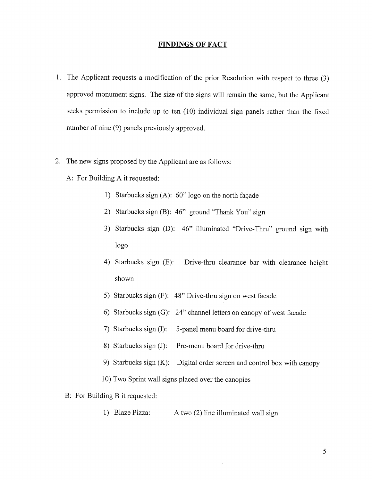# FINDINGS OF FACT

- 1. The Applicant requests <sup>a</sup> modification of the prior Resolution with respect to three (3) approved monument signs. The size of the signs will remain the same, but the Applicant seeks permission to include up to ten (10) individual sign panels rather than the fixed number of nine (9) panels previously approved.
- 2. The new signs proposed by the Applicant are as follows:
	- A: For Building A it requested:
		- 1) Starbucks sign (A): 60" logo on the north façade
		- 2) Starbucks sign (B): 46" ground "Thank You" sign
		- 3) Starbucks sign (D): 46" illuminated "Drive-Thru" ground sign with logo
		- 4) Starbucks sign (E): Drive-thru clearance bar with clearance height shown
		- 5) Starbucks sign (F): 48" Drive-thru sign on west facade
		- 6) Starbucks sign (G): 24" channel letters on canopy of west facade
		- 7) Starbucks sign (I): 5-panel menu board for drive-thru
		- 8) Starbucks sign (J): Pre-menu board for drive-thru
		- 9) Starbucks sign (K): Digital order screen and control box with canopy
		- 10) Two Sprint wall signs placed over the canopies
	- B: For Building B it requested:
		- 1) Blaze Pizza: A two (2) line illuminated wall sign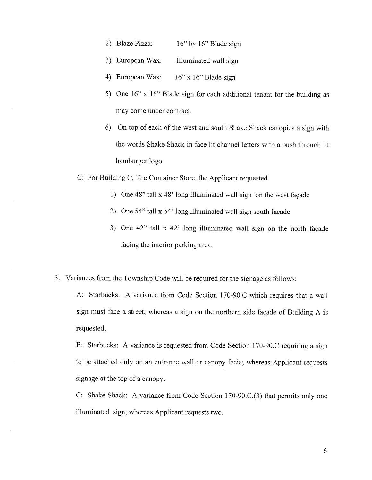- 2) Blaze Pizza: 16" by 16" Blade sign
- 3) European Wax: Illuminated wall sign
- 4) European Wax: 16" x 16" Blade sign
- 5) One 16" x 16" Blade sign for each additional tenant for the building as may come under contract.
- 6) On top of each of the west and south Shake Shack canopies a sign with the words Shake Shack in face lit channel letters with <sup>a</sup> push through lit hamburger logo.

C: For Building C, The Container Store, the Applicant requested

- 1) One 48" tall x 48' long illuminated wall sign on the west façade
- 2) One 54" tall x 54' long illuminated wall sign south facade
- 3) One 42" tall x 42' long illuminated wall sign on the north façade facing the interior parking area.
- 3. Variances from the Township Code will be required for the signage as follows:

A: Starbucks: A variance from Code Section 170-90.C which requires that a wall sign must face <sup>a</sup> street; whereas <sup>a</sup> sign on the northern side façade of Building A is requested.

B: Starbucks: A variance is requested from Code Section 170-90.C requiring a sign to be attached only on an entrance wall or canopy facia; whereas Applicant requests signage at the top of <sup>a</sup> canopy.

C: Shake Shack: A variance from Code Section 170-90.C.(3) that permits only one illuminated sign; whereas Applicant requests two.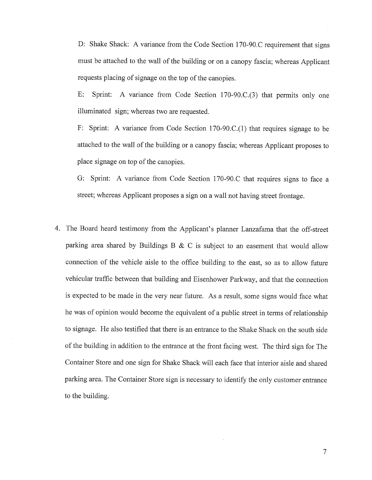D: Shake Shack: A variance from the Code Section 170-90.C requirement that signs must be attached to the wall of the building or on a canopy fascia; whereas Applicant requests placing of signage on the top of the canopies.

F: Sprint: A variance from Code Section 170-90.C.(3) that permits only one illuminated sign; whereas two are requested.

F: Sprint: A variance from Code Section 170-90,C.(1) that requires signage to be attached to the wall of the building or a canopy fascia; whereas Applicant proposes to place signage on top of the canopies.

G: Sprint: A variance from Code Section 170-90.C that requires signs to face a street; whereas Applicant proposes a sign on a wall not having street frontage.

4. The Board heard testimony from the Applicant's planner Lanzafama that the off-street parking area shared by Buildings B  $\&$  C is subject to an easement that would allow connection of the vehicle aisle to the office building to the east, so as to allow future vehicular traffic between that building and Eisenhower Parkway, and that the connection is expected to be made in the very near future. As a result, some signs would face what he was of opinion would become the equivalent of <sup>a</sup> public street in terms of relationship to signage. He also testified that there is an entrance to the Shake Shack on the south side of the building in addition to the entrance at the front facing west. The third sign for The Container Store and one sign for Shake Shack will each face that interior aisle and shared parking area. The Container Store sign is necessary to identify the only customer entrance to the building.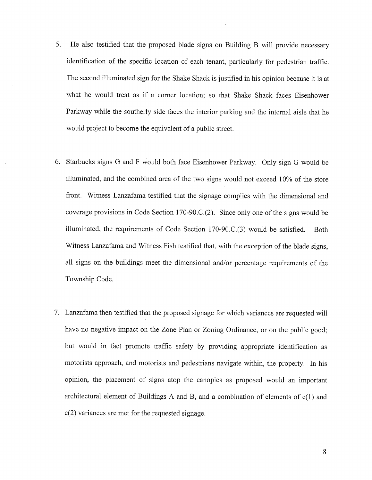- 5. He also testified that the proposed blade signs on Building B will provide necessary identification of the specific location of each tenant, particularly for pedestrian traffic. The second illuminated sign for the Shake Shack is justified in his opinion because it is at what he would treat as if <sup>a</sup> corner location; so that Shake Shack faces Eisenhower Parkway while the southerly side faces the interior parking and the internal aisle that he would project to become the equivalent of <sup>a</sup> public street.
- 6. Starbucks signs G and F would both face Eisenhower Parkway. Only sign G would be illuminated, and the combined area of the two signs would not exceed 10% of the store front. Witness Lanzafama testified that the signage complies with the dimensional and coverage provisions in Code Section 170~90.C.(2). Since only one of the signs would be illuminated, the requirements of Code Section  $170-90.C.(3)$  would be satisfied. Both Witness Lanzafama and Witness Fish testified that, with the exception of the blade signs, all signs on the buildings meet the dimensional and/or percentage requirements of the Township Code.
- 7. Lanzafama then testified that the proposed signage for which variances are requested will have no negative impact on the Zone Plan or Zoning Ordinance, or on the public good; but would in fact promote traffic safety by providing appropriate identification as motorists approach, and motorists and pedestrians navigate within, the property. In his opinion, the placement of signs atop the canopies as proposed would an important architectural element of Buildings A and B, and <sup>a</sup> combination of elements of c(1) and c(2) variances are met for the requested signage.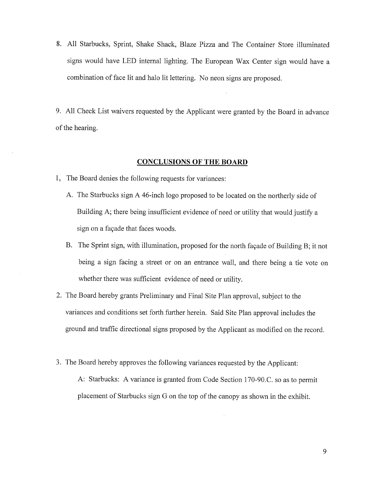- 8. All Starbucks, Sprint, Shake Shack, Blaze Pizza and The Container Store illuminated signs would have LED internal lighting. The European Wax Center sign would have a combination of face lit and halo lit lettering. No neon signs are proposed.
- 9. All Check List waivers requested by the Applicant were granted by the Board in advance of the hearing.

## CONCLUSIONS OF THE BOARD

- 1, The Board denies the following requests for variances:
	- A. The Starbucks sign A 46-inch logo proposed to be located on the northerly side of Building A; there being insufficient evidence of need or utility that would justify a sign on a façade that faces woods.
	- B. The Sprint sign, with illumination, proposed for the north façade of Building B; it not being a sign facing a street or on an entrance wall, and there being a tie vote on whether there was sufficient evidence of need or utility.
- 2. The Board hereby grants Preliminary and Final Site Plan approval, subject to the variances and conditions set forth further herein. Said Site Plan approval includes the ground and traffic directional signs proposed by the Applicant as modified on the record.
- 3. The Board hereby approves the following variances requested by the Applicant: A: Starbucks: A variance is granted from Code Section 170-90.C. so as to permit placement of Starbucks sign G on the top of the canopy as shown in the exhibit.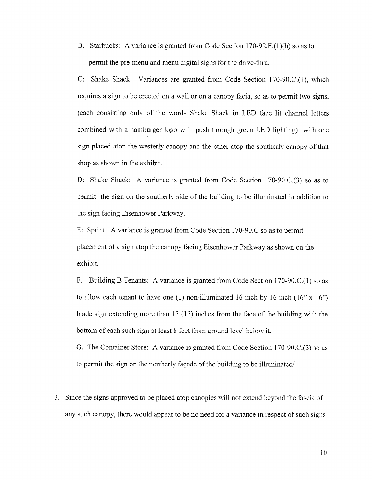B, Starbucks: A variance is granted from Code Section l70-92.F.(1)(h) so as to permit the pre-menu and menu digital signs for the drive-thru.

C: Shake Shack: Variances are granted from Code Section 170-90.C.(1), which requires a sign to be erected on a wall or on a canopy facia, so as to permit two signs, (each consisting only of the words Shake Shack in LED face lit channel letters combined with a hamburger logo with push through green LED lighting) with one sign placed atop the westerly canopy and the other atop the southerly canopy of that shop as shown in the exhibit.

D: Shake Shack: A variance is granted from Code Section 170-90.C.(3) so as to permit the sign on the southerly side of the building to be illuminated in addition to the sign facing Eisenhower Parkway.

E: Sprint: A variance is granted from Code Section 170-90.C so as to permit placement of <sup>a</sup> sign atop the canopy facing Eisenhower Parkway as shown on the exhibit.

F. Building B Tenants: A variance is granted from Code Section 170-90.C.(l) so as to allow each tenant to have one (1) non-illuminated 16 inch by 16 inch (16"  $\times$  16") blade sign extending more than <sup>15</sup> (15) inches from the face of the building with the bottom of each such sign at least <sup>8</sup> feet from ground level below it.

G. The Container Store: A variance is granted from Code Section 170-90.C.(3) so as to permit the sign on the northerly façade of the building to be illuminated/

3. Since the signs approved to be placed atop canopies will not extend beyond the fascia of any such canopy, there would appear to be no need for <sup>a</sup> variance in respect of such signs

10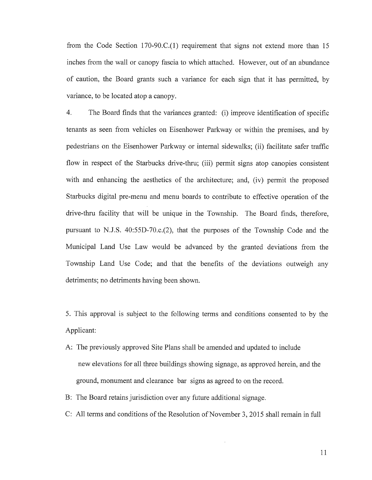from the Code Section 170-90.C.(1) requirement that signs not extend more than 15 inches from the wall or canopy fascia to which attached. However, out of an abundance of caution, the Board grants such a variance for each sign that it has permitted, by variance, to be located atop a canopy.

4. The Board finds that the variances granted: (i) improve identification of specific tenants as seen from vehicles on Eisenhower Parkway or within the premises, and by pedestrians on the Eisenhower Parkway or internal sidewalks; (ii) facilitate safer traffic flow in respect of the Starbucks drive-thru; (iii) permit signs atop canopies consistent with and enhancing the aesthetics of the architecture; and, (iv) permit the proposed Starbucks digital pre-menu and menu boards to contribute to effective operation of the drive-thru facility that will be unique in the Township. The Board finds, therefore, pursuant to N.J.S. 40:55D-70.c.(2), that the purposes of the Township Code and the Municipal Land Use Law would be advanced by the granted deviations from the Township Land Use Code; and that the benefits of the deviations outweigh any detriments; no detriments having been shown.

5. This approval is subject to the following terms and conditions consented to by the Applicant:

- A: The previously approved Site Plans shall be amended and updated to include new elevations for all three buildings showing signage, as approved herein, and the ground, monument and clearance bar signs as agreed to on the record.
- B: The Board retains jurisdiction over any future additional signage.
- C: All terms and conditions of the Resolution of November 3, 2015 shall remain in full